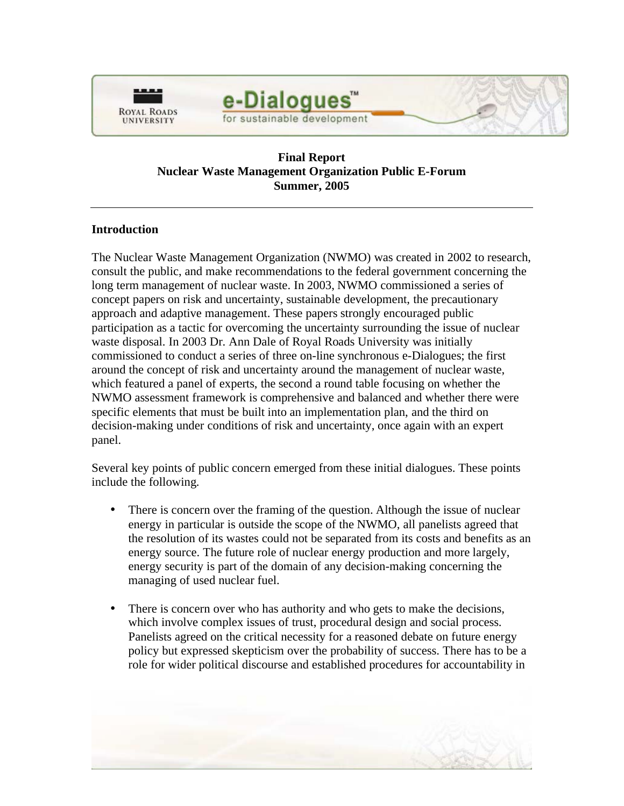

# e-Dialogues for sustainable development

## **Final Report Nuclear Waste Management Organization Public E-Forum Summer, 2005**

## **Introduction**

The Nuclear Waste Management Organization (NWMO) was created in 2002 to research, consult the public, and make recommendations to the federal government concerning the long term management of nuclear waste. In 2003, NWMO commissioned a series of concept papers on risk and uncertainty, sustainable development, the precautionary approach and adaptive management. These papers strongly encouraged public participation as a tactic for overcoming the uncertainty surrounding the issue of nuclear waste disposal. In 2003 Dr. Ann Dale of Royal Roads University was initially commissioned to conduct a series of three on-line synchronous e-Dialogues; the first around the concept of risk and uncertainty around the management of nuclear waste, which featured a panel of experts, the second a round table focusing on whether the NWMO assessment framework is comprehensive and balanced and whether there were specific elements that must be built into an implementation plan, and the third on decision-making under conditions of risk and uncertainty, once again with an expert panel.

Several key points of public concern emerged from these initial dialogues. These points include the following.

- There is concern over the framing of the question. Although the issue of nuclear energy in particular is outside the scope of the NWMO, all panelists agreed that the resolution of its wastes could not be separated from its costs and benefits as an energy source. The future role of nuclear energy production and more largely, energy security is part of the domain of any decision-making concerning the managing of used nuclear fuel.
- There is concern over who has authority and who gets to make the decisions, which involve complex issues of trust, procedural design and social process. Panelists agreed on the critical necessity for a reasoned debate on future energy policy but expressed skepticism over the probability of success. There has to be a role for wider political discourse and established procedures for accountability in

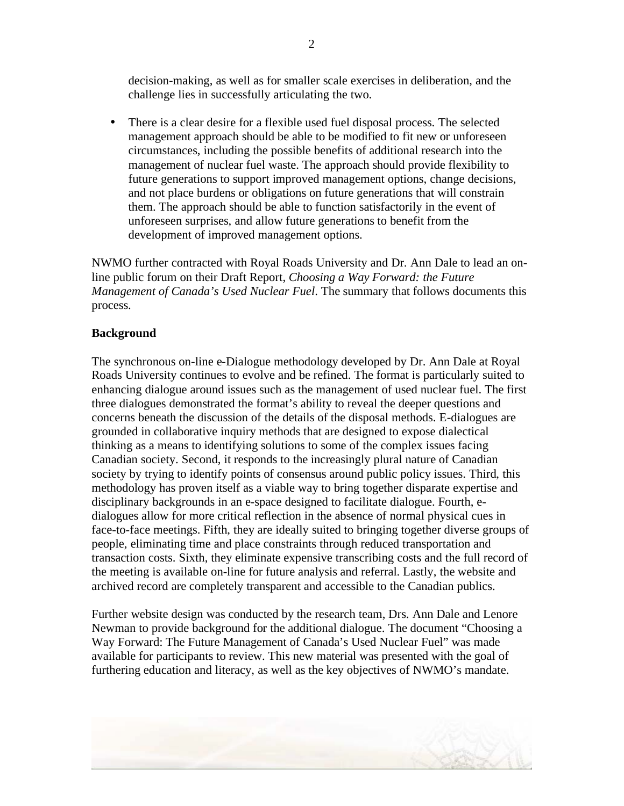decision-making, as well as for smaller scale exercises in deliberation, and the challenge lies in successfully articulating the two.

• There is a clear desire for a flexible used fuel disposal process. The selected management approach should be able to be modified to fit new or unforeseen circumstances, including the possible benefits of additional research into the management of nuclear fuel waste. The approach should provide flexibility to future generations to support improved management options, change decisions, and not place burdens or obligations on future generations that will constrain them. The approach should be able to function satisfactorily in the event of unforeseen surprises, and allow future generations to benefit from the development of improved management options.

NWMO further contracted with Royal Roads University and Dr. Ann Dale to lead an online public forum on their Draft Report, *Choosing a Way Forward: the Future Management of Canada's Used Nuclear Fuel*. The summary that follows documents this process.

#### **Background**

The synchronous on-line e-Dialogue methodology developed by Dr. Ann Dale at Royal Roads University continues to evolve and be refined. The format is particularly suited to enhancing dialogue around issues such as the management of used nuclear fuel. The first three dialogues demonstrated the format's ability to reveal the deeper questions and concerns beneath the discussion of the details of the disposal methods. E-dialogues are grounded in collaborative inquiry methods that are designed to expose dialectical thinking as a means to identifying solutions to some of the complex issues facing Canadian society. Second, it responds to the increasingly plural nature of Canadian society by trying to identify points of consensus around public policy issues. Third, this methodology has proven itself as a viable way to bring together disparate expertise and disciplinary backgrounds in an e-space designed to facilitate dialogue. Fourth, edialogues allow for more critical reflection in the absence of normal physical cues in face-to-face meetings. Fifth, they are ideally suited to bringing together diverse groups of people, eliminating time and place constraints through reduced transportation and transaction costs. Sixth, they eliminate expensive transcribing costs and the full record of the meeting is available on-line for future analysis and referral. Lastly, the website and archived record are completely transparent and accessible to the Canadian publics.

Further website design was conducted by the research team, Drs. Ann Dale and Lenore Newman to provide background for the additional dialogue. The document "Choosing a Way Forward: The Future Management of Canada's Used Nuclear Fuel" was made available for participants to review. This new material was presented with the goal of furthering education and literacy, as well as the key objectives of NWMO's mandate.

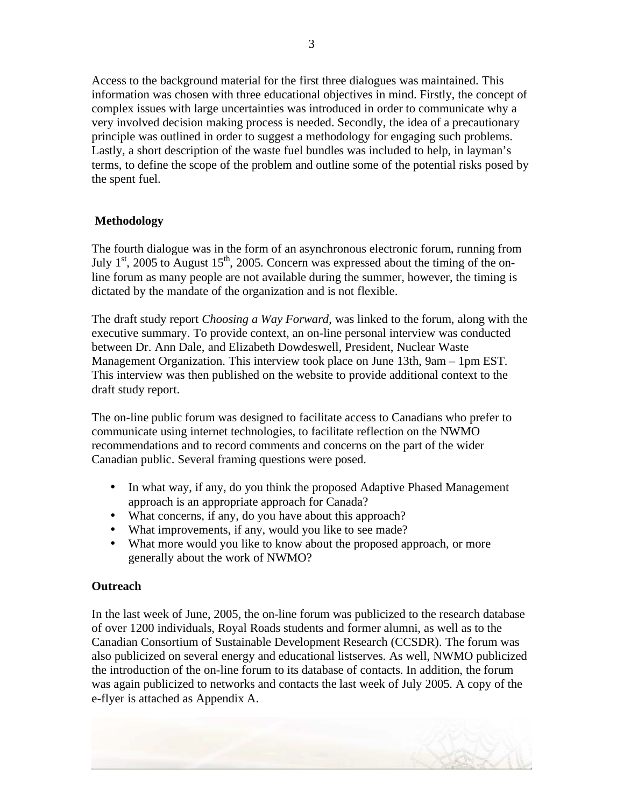Access to the background material for the first three dialogues was maintained. This information was chosen with three educational objectives in mind. Firstly, the concept of complex issues with large uncertainties was introduced in order to communicate why a very involved decision making process is needed. Secondly, the idea of a precautionary principle was outlined in order to suggest a methodology for engaging such problems. Lastly, a short description of the waste fuel bundles was included to help, in layman's terms, to define the scope of the problem and outline some of the potential risks posed by the spent fuel.

# **Methodology**

The fourth dialogue was in the form of an asynchronous electronic forum, running from July  $1<sup>st</sup>$ , 2005 to August  $15<sup>th</sup>$ , 2005. Concern was expressed about the timing of the online forum as many people are not available during the summer, however, the timing is dictated by the mandate of the organization and is not flexible.

The draft study report *Choosing a Way Forward*, was linked to the forum, along with the executive summary. To provide context, an on-line personal interview was conducted between Dr. Ann Dale, and Elizabeth Dowdeswell, President, Nuclear Waste Management Organization. This interview took place on June 13th, 9am – 1pm EST. This interview was then published on the website to provide additional context to the draft study report.

The on-line public forum was designed to facilitate access to Canadians who prefer to communicate using internet technologies, to facilitate reflection on the NWMO recommendations and to record comments and concerns on the part of the wider Canadian public. Several framing questions were posed.

- In what way, if any, do you think the proposed Adaptive Phased Management approach is an appropriate approach for Canada?
- What concerns, if any, do you have about this approach?
- What improvements, if any, would you like to see made?
- What more would you like to know about the proposed approach, or more generally about the work of NWMO?

# **Outreach**

In the last week of June, 2005, the on-line forum was publicized to the research database of over 1200 individuals, Royal Roads students and former alumni, as well as to the Canadian Consortium of Sustainable Development Research (CCSDR). The forum was also publicized on several energy and educational listserves. As well, NWMO publicized the introduction of the on-line forum to its database of contacts. In addition, the forum was again publicized to networks and contacts the last week of July 2005. A copy of the e-flyer is attached as Appendix A.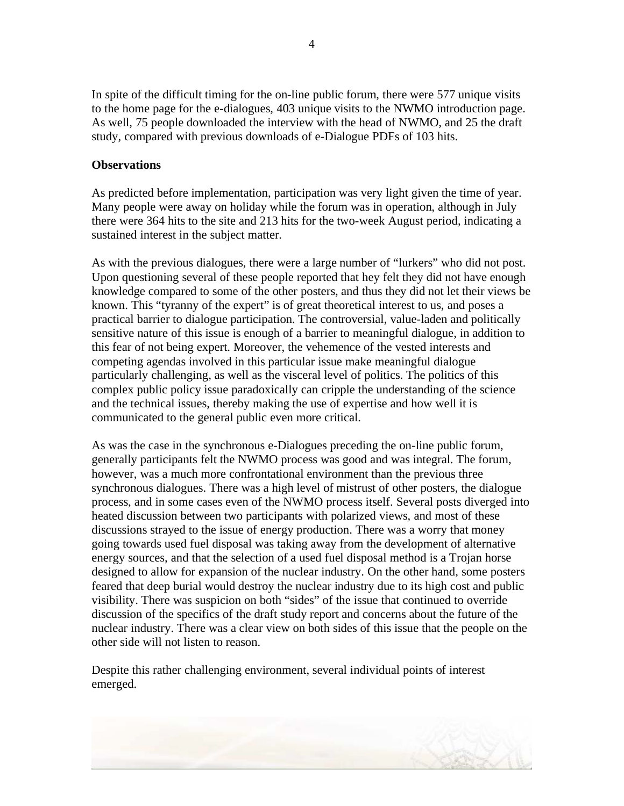In spite of the difficult timing for the on-line public forum, there were 577 unique visits to the home page for the e-dialogues, 403 unique visits to the NWMO introduction page. As well, 75 people downloaded the interview with the head of NWMO, and 25 the draft study, compared with previous downloads of e-Dialogue PDFs of 103 hits.

#### **Observations**

As predicted before implementation, participation was very light given the time of year. Many people were away on holiday while the forum was in operation, although in July there were 364 hits to the site and 213 hits for the two-week August period, indicating a sustained interest in the subject matter.

As with the previous dialogues, there were a large number of "lurkers" who did not post. Upon questioning several of these people reported that hey felt they did not have enough knowledge compared to some of the other posters, and thus they did not let their views be known. This "tyranny of the expert" is of great theoretical interest to us, and poses a practical barrier to dialogue participation. The controversial, value-laden and politically sensitive nature of this issue is enough of a barrier to meaningful dialogue, in addition to this fear of not being expert. Moreover, the vehemence of the vested interests and competing agendas involved in this particular issue make meaningful dialogue particularly challenging, as well as the visceral level of politics. The politics of this complex public policy issue paradoxically can cripple the understanding of the science and the technical issues, thereby making the use of expertise and how well it is communicated to the general public even more critical.

As was the case in the synchronous e-Dialogues preceding the on-line public forum, generally participants felt the NWMO process was good and was integral. The forum, however, was a much more confrontational environment than the previous three synchronous dialogues. There was a high level of mistrust of other posters, the dialogue process, and in some cases even of the NWMO process itself. Several posts diverged into heated discussion between two participants with polarized views, and most of these discussions strayed to the issue of energy production. There was a worry that money going towards used fuel disposal was taking away from the development of alternative energy sources, and that the selection of a used fuel disposal method is a Trojan horse designed to allow for expansion of the nuclear industry. On the other hand, some posters feared that deep burial would destroy the nuclear industry due to its high cost and public visibility. There was suspicion on both "sides" of the issue that continued to override discussion of the specifics of the draft study report and concerns about the future of the nuclear industry. There was a clear view on both sides of this issue that the people on the other side will not listen to reason.

Despite this rather challenging environment, several individual points of interest emerged.

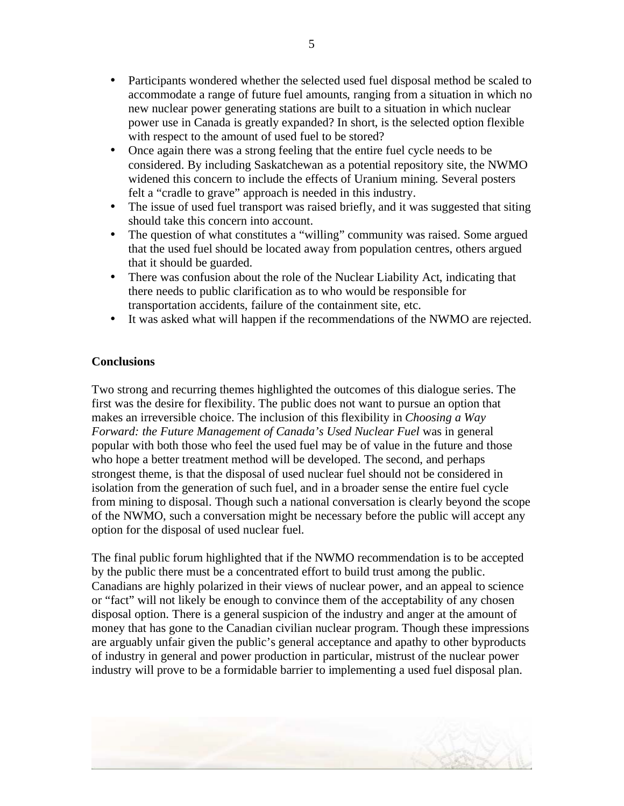- Participants wondered whether the selected used fuel disposal method be scaled to accommodate a range of future fuel amounts, ranging from a situation in which no new nuclear power generating stations are built to a situation in which nuclear power use in Canada is greatly expanded? In short, is the selected option flexible with respect to the amount of used fuel to be stored?
- Once again there was a strong feeling that the entire fuel cycle needs to be considered. By including Saskatchewan as a potential repository site, the NWMO widened this concern to include the effects of Uranium mining. Several posters felt a "cradle to grave" approach is needed in this industry.
- The issue of used fuel transport was raised briefly, and it was suggested that siting should take this concern into account.
- The question of what constitutes a "willing" community was raised. Some argued that the used fuel should be located away from population centres, others argued that it should be guarded.
- There was confusion about the role of the Nuclear Liability Act, indicating that there needs to public clarification as to who would be responsible for transportation accidents, failure of the containment site, etc.
- It was asked what will happen if the recommendations of the NWMO are rejected.

## **Conclusions**

Two strong and recurring themes highlighted the outcomes of this dialogue series. The first was the desire for flexibility. The public does not want to pursue an option that makes an irreversible choice. The inclusion of this flexibility in *Choosing a Way Forward: the Future Management of Canada's Used Nuclear Fuel* was in general popular with both those who feel the used fuel may be of value in the future and those who hope a better treatment method will be developed. The second, and perhaps strongest theme, is that the disposal of used nuclear fuel should not be considered in isolation from the generation of such fuel, and in a broader sense the entire fuel cycle from mining to disposal. Though such a national conversation is clearly beyond the scope of the NWMO, such a conversation might be necessary before the public will accept any option for the disposal of used nuclear fuel.

The final public forum highlighted that if the NWMO recommendation is to be accepted by the public there must be a concentrated effort to build trust among the public. Canadians are highly polarized in their views of nuclear power, and an appeal to science or "fact" will not likely be enough to convince them of the acceptability of any chosen disposal option. There is a general suspicion of the industry and anger at the amount of money that has gone to the Canadian civilian nuclear program. Though these impressions are arguably unfair given the public's general acceptance and apathy to other byproducts of industry in general and power production in particular, mistrust of the nuclear power industry will prove to be a formidable barrier to implementing a used fuel disposal plan.